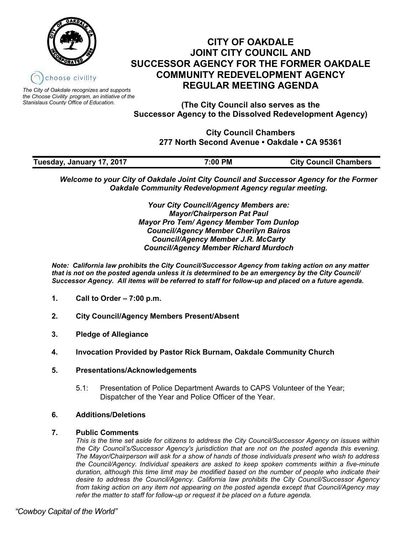



*The City of Oakdale recognizes and supports the Choose Civility program, an initiative of the Stanislaus County Office of Education.*

**(The City Council also serves as the Successor Agency to the Dissolved Redevelopment Agency)**

> **City Council Chambers 277 North Second Avenue • Oakdale • CA 95361**

| Tuesday, January 17, 2017 | 7:00 PM | <b>City Council Chambers</b> |
|---------------------------|---------|------------------------------|

*Welcome to your City of Oakdale Joint City Council and Successor Agency for the Former Oakdale Community Redevelopment Agency regular meeting.*

> *Your City Council/Agency Members are: Mayor/Chairperson Pat Paul Mayor Pro Tem/ Agency Member Tom Dunlop Council/Agency Member Cherilyn Bairos Council/Agency Member J.R. McCarty Council/Agency Member Richard Murdoch*

*Note: California law prohibits the City Council/Successor Agency from taking action on any matter that is not on the posted agenda unless it is determined to be an emergency by the City Council/ Successor Agency. All items will be referred to staff for follow-up and placed on a future agenda.* 

- **1. Call to Order – 7:00 p.m.**
- **2. City Council/Agency Members Present/Absent**
- **3. Pledge of Allegiance**
- **4. Invocation Provided by Pastor Rick Burnam, Oakdale Community Church**
- **5. Presentations/Acknowledgements**
	- 5.1: Presentation of Police Department Awards to CAPS Volunteer of the Year; Dispatcher of the Year and Police Officer of the Year.

## **6. Additions/Deletions**

## **7. Public Comments**

*This is the time set aside for citizens to address the City Council/Successor Agency on issues within the City Council's/Successor Agency's jurisdiction that are not on the posted agenda this evening. The Mayor/Chairperson will ask for a show of hands of those individuals present who wish to address the Council/Agency. Individual speakers are asked to keep spoken comments within a five-minute duration, although this time limit may be modified based on the number of people who indicate their desire to address the Council/Agency. California law prohibits the City Council/Successor Agency from taking action on any item not appearing on the posted agenda except that Council/Agency may refer the matter to staff for follow-up or request it be placed on a future agenda.*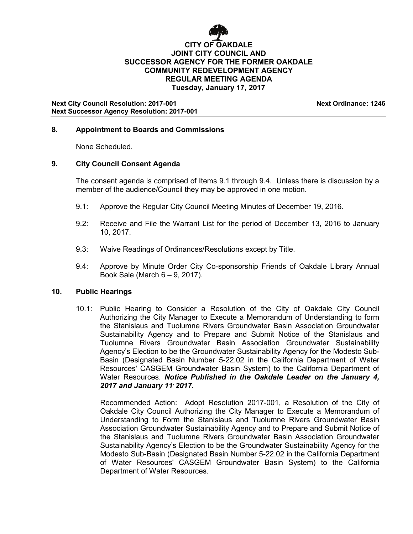

# **CITY OF OAKDALE JOINT CITY COUNCIL AND SUCCESSOR AGENCY FOR THE FORMER OAKDALE COMMUNITY REDEVELOPMENT AGENCY REGULAR MEETING AGENDA Tuesday, January 17, 2017**

**Next City Council Resolution: 2017-001 Next Ordinance: 1246 Next Successor Agency Resolution: 2017-001**

# **8. Appointment to Boards and Commissions**

None Scheduled.

## **9. City Council Consent Agenda**

The consent agenda is comprised of Items 9.1 through 9.4. Unless there is discussion by a member of the audience/Council they may be approved in one motion.

- 9.1: Approve the Regular City Council Meeting Minutes of December 19, 2016.
- 9.2: Receive and File the Warrant List for the period of December 13, 2016 to January 10, 2017.
- 9.3: Waive Readings of Ordinances/Resolutions except by Title.
- 9.4: Approve by Minute Order City Co-sponsorship Friends of Oakdale Library Annual Book Sale (March 6 – 9, 2017).

## **10. Public Hearings**

10.1: Public Hearing to Consider a Resolution of the City of Oakdale City Council Authorizing the City Manager to Execute a Memorandum of Understanding to form the Stanislaus and Tuolumne Rivers Groundwater Basin Association Groundwater Sustainability Agency and to Prepare and Submit Notice of the Stanislaus and Tuolumne Rivers Groundwater Basin Association Groundwater Sustainability Agency's Election to be the Groundwater Sustainability Agency for the Modesto Sub-Basin (Designated Basin Number 5-22.02 in the California Department of Water Resources' CASGEM Groundwater Basin System) to the California Department of Water Resources. *Notice Published in the Oakdale Leader on the January 4, 2017 and January 11, 2017.*

Recommended Action: Adopt Resolution 2017-001, a Resolution of the City of Oakdale City Council Authorizing the City Manager to Execute a Memorandum of Understanding to Form the Stanislaus and Tuolumne Rivers Groundwater Basin Association Groundwater Sustainability Agency and to Prepare and Submit Notice of the Stanislaus and Tuolumne Rivers Groundwater Basin Association Groundwater Sustainability Agency's Election to be the Groundwater Sustainability Agency for the Modesto Sub-Basin (Designated Basin Number 5-22.02 in the California Department of Water Resources' CASGEM Groundwater Basin System) to the California Department of Water Resources.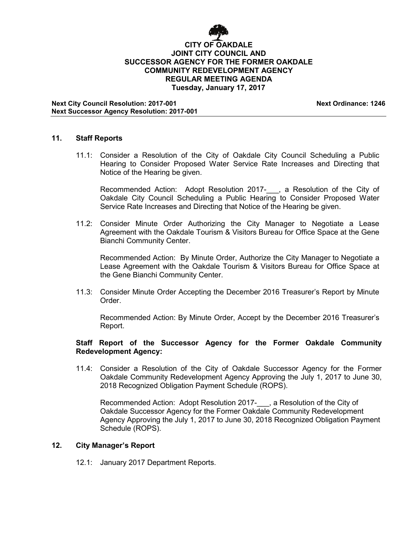

# **CITY OF OAKDALE JOINT CITY COUNCIL AND SUCCESSOR AGENCY FOR THE FORMER OAKDALE COMMUNITY REDEVELOPMENT AGENCY REGULAR MEETING AGENDA Tuesday, January 17, 2017**

**Next City Council Resolution: 2017-001 Next Ordinance: 1246 Next Successor Agency Resolution: 2017-001**

# **11. Staff Reports**

11.1: Consider a Resolution of the City of Oakdale City Council Scheduling a Public Hearing to Consider Proposed Water Service Rate Increases and Directing that Notice of the Hearing be given.

Recommended Action: Adopt Resolution 2017- , a Resolution of the City of Oakdale City Council Scheduling a Public Hearing to Consider Proposed Water Service Rate Increases and Directing that Notice of the Hearing be given.

11.2: Consider Minute Order Authorizing the City Manager to Negotiate a Lease Agreement with the Oakdale Tourism & Visitors Bureau for Office Space at the Gene Bianchi Community Center.

Recommended Action: By Minute Order, Authorize the City Manager to Negotiate a Lease Agreement with the Oakdale Tourism & Visitors Bureau for Office Space at the Gene Bianchi Community Center.

11.3: Consider Minute Order Accepting the December 2016 Treasurer's Report by Minute Order.

Recommended Action: By Minute Order, Accept by the December 2016 Treasurer's Report.

## **Staff Report of the Successor Agency for the Former Oakdale Community Redevelopment Agency:**

11.4: Consider a Resolution of the City of Oakdale Successor Agency for the Former Oakdale Community Redevelopment Agency Approving the July 1, 2017 to June 30, 2018 Recognized Obligation Payment Schedule (ROPS).

Recommended Action: Adopt Resolution 2017-\_\_\_, a Resolution of the City of Oakdale Successor Agency for the Former Oakdale Community Redevelopment Agency Approving the July 1, 2017 to June 30, 2018 Recognized Obligation Payment Schedule (ROPS).

#### **12. City Manager's Report**

12.1: January 2017 Department Reports.